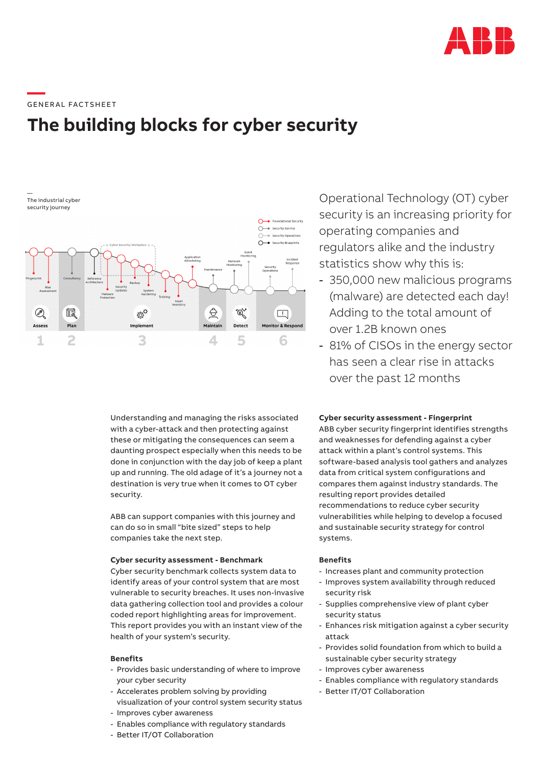

**—**  GENERAL FACTSHEET

# **The building blocks for cyber security**

— The industrial cyber security journey



Understanding and managing the risks associated with a cyber-attack and then protecting against these or mitigating the consequences can seem a daunting prospect especially when this needs to be done in conjunction with the day job of keep a plant up and running. The old adage of it's a journey not a destination is very true when it comes to OT cyber security.

ABB can support companies with this journey and can do so in small "bite sized" steps to help companies take the next step.

# **Cyber security assessment - Benchmark**

Cyber security benchmark collects system data to identify areas of your control system that are most vulnerable to security breaches. It uses non-invasive data gathering collection tool and provides a colour coded report highlighting areas for improvement. This report provides you with an instant view of the health of your system's security.

## **Benefits**

- Provides basic understanding of where to improve your cyber security
- Accelerates problem solving by providing visualization of your control system security status
- Improves cyber awareness
- Enables compliance with regulatory standards
- Better IT/OT Collaboration

Operational Technology (OT) cyber security is an increasing priority for operating companies and regulators alike and the industry statistics show why this is:

- 350,000 new malicious programs (malware) are detected each day! Adding to the total amount of over 1.2B known ones
- 81% of CISOs in the energy sector has seen a clear rise in attacks over the past 12 months

#### **Cyber security assessment - Fingerprint**

ABB cyber security fingerprint identifies strengths and weaknesses for defending against a cyber attack within a plant's control systems. This software-based analysis tool gathers and analyzes data from critical system configurations and compares them against industry standards. The resulting report provides detailed recommendations to reduce cyber security vulnerabilities while helping to develop a focused and sustainable security strategy for control systems.

# **Benefits**

- Increases plant and community protection
- Improves system availability through reduced security risk
- Supplies comprehensive view of plant cyber security status
- Enhances risk mitigation against a cyber security attack
- Provides solid foundation from which to build a sustainable cyber security strategy
- Improves cyber awareness
- Enables compliance with regulatory standards
- Better IT/OT Collaboration